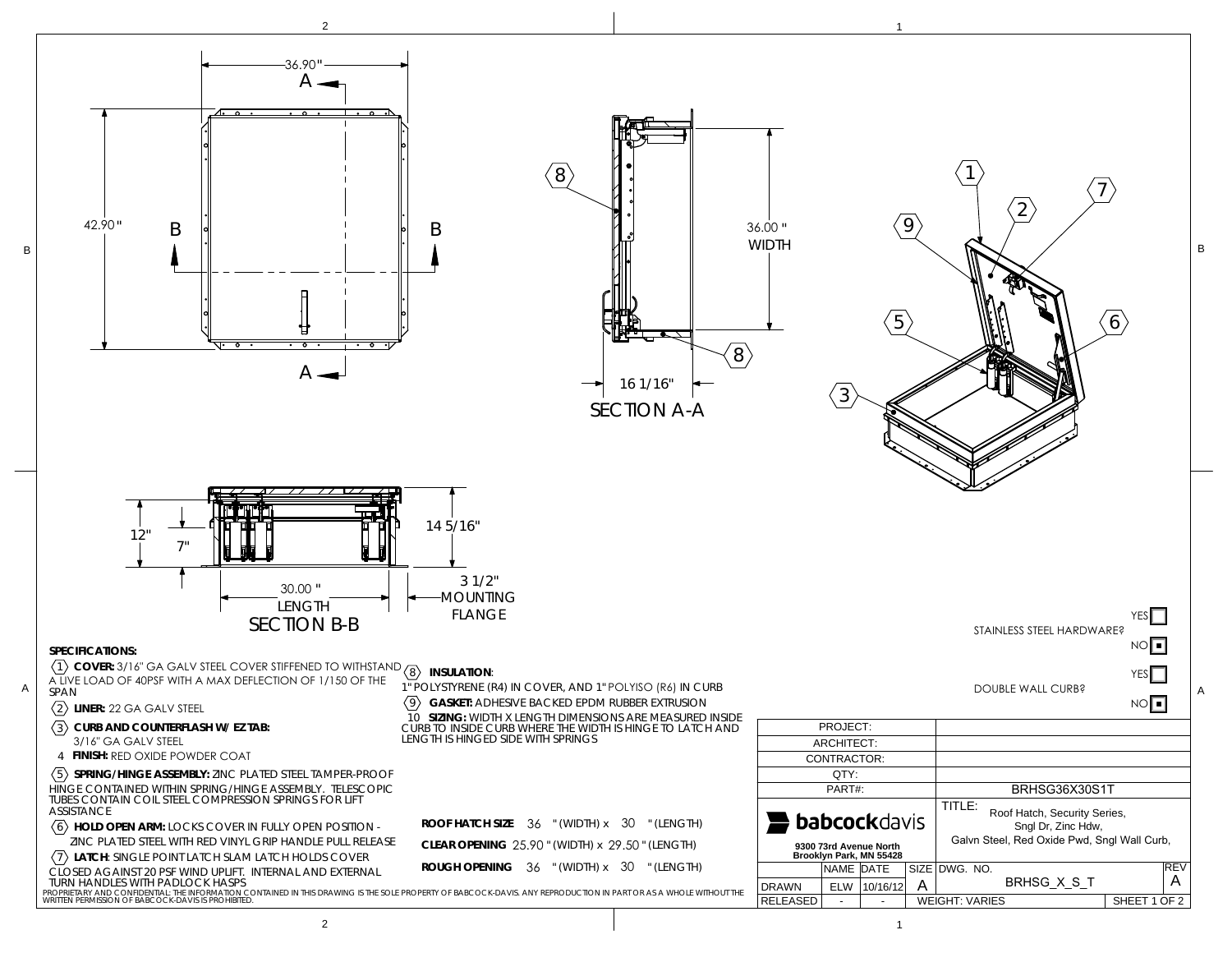

2е произведение производство на применение с производственность и производственность и производства и применени<br>Применение производство применение производственность применения и производственность и производства и примене